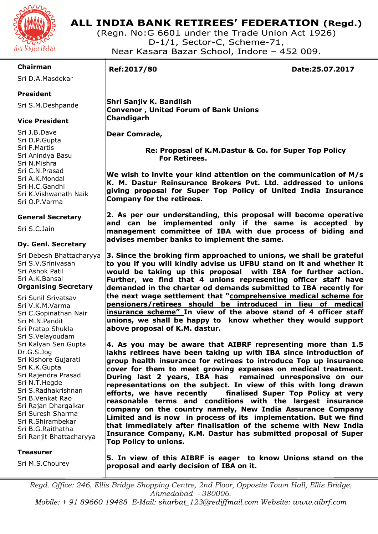

## **ALL INDIA BANK RETIREES' FEDERATION (Regd.)**

(Regn. No:G 6601 under the Trade Union Act 1926) D-1/1, Sector-C, Scheme-71, Near Kasara Bazar School, Indore – 452 009.

### **Chairman**

Sri D.A.Masdekar

### **President**

Sri S.M.Deshpande

## **Vice President**

Sri J.B.Dave Sri D.P.Gupta Sri F.Martis Sri Anindya Basu Sri N.Mishra Sri C.N.Prasad Sri A.K.Mondal Sri H.C.Gandhi Sri K.Vishwanath Naik Sri O.P.Varma

### **General Secretary**

Sri S.C.Jain

### **Dy. Genl. Secretary**

Sri Debesh Bhattacharyya Sri S.V.Srinivasan Sri Ashok Patil Sri A.K.Bansal **Organising Secretary** 

Sri Sunil Srivatsav Sri V.K.M.Varma Sri C.Gopinathan Nair Sri M.N.Pandit Sri Pratap Shukla Sri S.Velayoudam Sri Kalyan Sen Gupta Dr.G.S.Jog Sri Kishore Gujarati Sri K.K.Gupta Sri Rajendra Prasad Sri N.T.Hegde Sri S.Radhakrishnan Sri B.Venkat Rao Sri Rajan Dhargalkar Sri Suresh Sharma Sri R.Shirambekar Sri B.G.Raithatha Sri Ranjit Bhattacharyya

### **Treasurer**

Sri M.S.Chourey

I

**Ref:2017/80 Date:25.07.2017** 

 **Shri Sanjiv K. Bandlish Convenor , United Forum of Bank Unions Chandigarh** 

 **Dear Comrade,** 

 **Re: Proposal of K.M.Dastur & Co. for Super Top Policy For Retirees.** 

**We wish to invite your kind attention on the communication of M/s K. M. Dastur Reinsurance Brokers Pvt. Ltd. addressed to unions giving proposal for Super Top Policy of United India Insurance Company for the retirees.** 

**2. As per our understanding, this proposal will become operative and can be implemented only if the same is accepted by management committee of IBA with due process of biding and advises member banks to implement the same.** 

**3. Since the broking firm approached to unions, we shall be grateful to you if you will kindly advise us UFBU stand on it and whether it would be taking up this proposal with IBA for further action. Further, we find that 4 unions representing officer staff have demanded in the charter od demands submitted to IBA recently for the next wage settlement that "comprehensive medical scheme for pensioners/retirees should be introduced in lieu of medical insurance scheme" In view of the above stand of 4 officer staff unions, we shall be happy to know whether they would support above proposal of K.M. dastur.** 

**4. As you may be aware that AIBRF representing more than 1.5 lakhs retirees have been taking up with IBA since introduction of group health insurance for retirees to introduce Top up insurance cover for them to meet growing expenses on medical treatment. During last 2 years, IBA has remained unresponsive on our representations on the subject. In view of this with long drawn efforts, we have recently finalised Super Top Policy at very reasonable terms and conditions with the largest insurance company on the country namely, New India Assurance Company Limited and is now in process of its implementation. But we find that immediately after finalisation of the scheme with New India Insurance Company, K.M. Dastur has submitted proposal of Super Top Policy to unions.** 

**5. In view of this AIBRF is eager to know Unions stand on the proposal and early decision of IBA on it.** 

*Regd. Office: 246, Ellis Bridge Shopping Centre, 2nd Floor, Opposite Town Hall, Ellis Bridge, Ahmedabad - 380006. Mobile: + 91 89660 19488 E-Mail: sharbat\_123@rediffmail.com Website: www.aibrf.com*